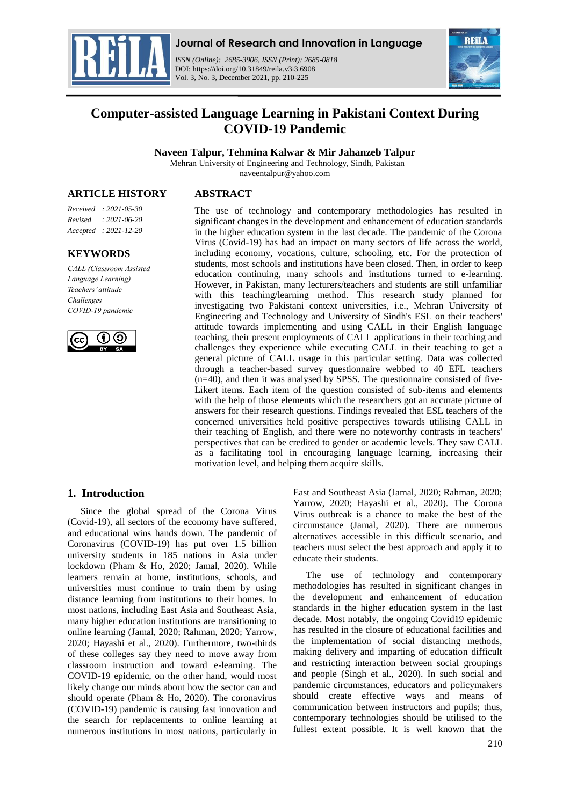

## **Journal of Research and Innovation in Language**

*ISSN (Online): 2685-3906, ISSN (Print): 2685-0818*  DOI: https://doi.org/10.31849/reila.v3i3.6908 Vol. 3, No. 3, December 2021, pp. 210-225



# **Computer-assisted Language Learning in Pakistani Context During COVID-19 Pandemic**

**Naveen Talpur, Tehmina Kalwar & Mir Jahanzeb Talpur**

Mehran University of Engineering and Technology, Sindh, Pakistan naveentalpur@yahoo.com

**ARTICLE HISTORY**

**ABSTRACT**

*Received : 2021-05-30 Revised : 2021-06-20 Accepted : 2021-12-20*

### **KEYWORDS**

*CALL (Classroom Assisted Language Learning) Teachers' attitude Challenges COVID-19 pandemic*



The use of technology and contemporary methodologies has resulted in significant changes in the development and enhancement of education standards in the higher education system in the last decade. The pandemic of the Corona Virus (Covid-19) has had an impact on many sectors of life across the world, including economy, vocations, culture, schooling, etc. For the protection of students, most schools and institutions have been closed. Then, in order to keep education continuing, many schools and institutions turned to e-learning. However, in Pakistan, many lecturers/teachers and students are still unfamiliar with this teaching/learning method. This research study planned for investigating two Pakistani context universities, i.e., Mehran University of Engineering and Technology and University of Sindh's ESL on their teachers' attitude towards implementing and using CALL in their English language teaching, their present employments of CALL applications in their teaching and challenges they experience while executing CALL in their teaching to get a general picture of CALL usage in this particular setting. Data was collected through a teacher-based survey questionnaire webbed to 40 EFL teachers (n=40), and then it was analysed by SPSS. The questionnaire consisted of five-Likert items. Each item of the question consisted of sub-items and elements with the help of those elements which the researchers got an accurate picture of answers for their research questions. Findings revealed that ESL teachers of the concerned universities held positive perspectives towards utilising CALL in their teaching of English, and there were no noteworthy contrasts in teachers' perspectives that can be credited to gender or academic levels. They saw CALL as a facilitating tool in encouraging language learning, increasing their motivation level, and helping them acquire skills.

# **1. Introduction**

Since the global spread of the Corona Virus (Covid-19), all sectors of the economy have suffered, and educational wins hands down. The pandemic of Coronavirus (COVID-19) has put over 1.5 billion university students in 185 nations in Asia under lockdown (Pham & Ho, 2020; Jamal, 2020). While learners remain at home, institutions, schools, and universities must continue to train them by using distance learning from institutions to their homes. In most nations, including East Asia and Southeast Asia, many higher education institutions are transitioning to online learning (Jamal, 2020; Rahman, 2020; Yarrow, 2020; Hayashi et al., 2020). Furthermore, two-thirds of these colleges say they need to move away from classroom instruction and toward e-learning. The COVID-19 epidemic, on the other hand, would most likely change our minds about how the sector can and should operate (Pham & Ho, 2020). The coronavirus (COVID-19) pandemic is causing fast innovation and the search for replacements to online learning at numerous institutions in most nations, particularly in

East and Southeast Asia (Jamal, 2020; Rahman, 2020; Yarrow, 2020; Hayashi et al., 2020). The Corona Virus outbreak is a chance to make the best of the circumstance (Jamal, 2020). There are numerous alternatives accessible in this difficult scenario, and teachers must select the best approach and apply it to educate their students.

The use of technology and contemporary methodologies has resulted in significant changes in the development and enhancement of education standards in the higher education system in the last decade. Most notably, the ongoing Covid19 epidemic has resulted in the closure of educational facilities and the implementation of social distancing methods, making delivery and imparting of education difficult and restricting interaction between social groupings and people (Singh et al., 2020). In such social and pandemic circumstances, educators and policymakers should create effective ways and means of communication between instructors and pupils; thus, contemporary technologies should be utilised to the fullest extent possible. It is well known that the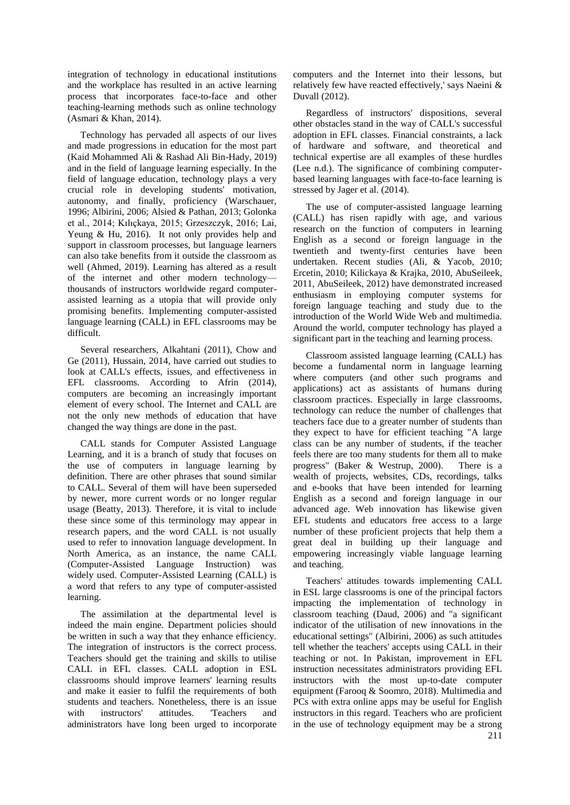integration of technology in educational institutions and the workplace has resulted in an active learning process that incorporates face-to-face and other teaching-learning methods such as online technology (Asmari & Khan, 2014).

Technology has pervaded all aspects of our lives and made progressions in education for the most part (Kaid Mohammed Ali & Rashad Ali Bin-Hady, 2019) and in the field of language learning especially. In the field of language education, technology plays a very crucial role in developing students' motivation, autonomy, and finally, proficiency (Warschauer, 1996; Albirini, 2006; Alsied & Pathan, 2013; Golonka et al., 2014; Kılıçkaya, 2015; Grzeszczyk, 2016; Lai, Yeung & Hu, 2016). It not only provides help and support in classroom processes, but language learners can also take benefits from it outside the classroom as well (Ahmed, 2019). Learning has altered as a result of the internet and other modern technology thousands of instructors worldwide regard computerassisted learning as a utopia that will provide only promising benefits. Implementing computer-assisted language learning (CALL) in EFL classrooms may be difficult.

Several researchers, Alkahtani (2011), Chow and Ge (2011), Hussain, 2014, have carried out studies to look at CALL's effects, issues, and effectiveness in EFL classrooms. According to Afrin (2014), computers are becoming an increasingly important element of every school. The Internet and CALL are not the only new methods of education that have changed the way things are done in the past.

CALL stands for Computer Assisted Language Learning, and it is a branch of study that focuses on the use of computers in language learning by definition. There are other phrases that sound similar to CALL. Several of them will have been superseded by newer, more current words or no longer regular usage (Beatty, 2013). Therefore, it is vital to include these since some of this terminology may appear in research papers, and the word CALL is not usually used to refer to innovation language development. In North America, as an instance, the name CALL (Computer-Assisted Language Instruction) was widely used. Computer-Assisted Learning (CALL) is a word that refers to any type of computer-assisted learning.

The assimilation at the departmental level is indeed the main engine. Department policies should be written in such a way that they enhance efficiency. The integration of instructors is the correct process. Teachers should get the training and skills to utilise CALL in EFL classes. CALL adoption in ESL classrooms should improve learners' learning results and make it easier to fulfil the requirements of both students and teachers. Nonetheless, there is an issue with instructors' attitudes. 'Teachers and administrators have long been urged to incorporate computers and the Internet into their lessons, but relatively few have reacted effectively,' says Naeini & Duvall (2012).

Regardless of instructors' dispositions, several other obstacles stand in the way of CALL's successful adoption in EFL classes. Financial constraints, a lack of hardware and software, and theoretical and technical expertise are all examples of these hurdles (Lee n.d.). The significance of combining computerbased learning languages with face-to-face learning is stressed by Jager et al. (2014).

The use of computer-assisted language learning (CALL) has risen rapidly with age, and various research on the function of computers in learning English as a second or foreign language in the twentieth and twenty-first centuries have been undertaken. Recent studies (Ali, & Yacob, 2010; Ercetin, 2010; Kilickaya & Krajka, 2010, AbuSeileek, 2011, AbuSeileek, 2012) have demonstrated increased enthusiasm in employing computer systems for foreign language teaching and study due to the introduction of the World Wide Web and multimedia. Around the world, computer technology has played a significant part in the teaching and learning process.

Classroom assisted language learning (CALL) has become a fundamental norm in language learning where computers (and other such programs and applications) act as assistants of humans during classroom practices. Especially in large classrooms, technology can reduce the number of challenges that teachers face due to a greater number of students than they expect to have for efficient teaching "A large class can be any number of students, if the teacher feels there are too many students for them all to make progress" (Baker & Westrup, 2000). There is a wealth of projects, websites, CDs, recordings, talks and e-books that have been intended for learning English as a second and foreign language in our advanced age. Web innovation has likewise given EFL students and educators free access to a large number of these proficient projects that help them a great deal in building up their language and empowering increasingly viable language learning and teaching.

Teachers' attitudes towards implementing CALL in ESL large classrooms is one of the principal factors impacting the implementation of technology in classroom teaching (Daud, 2006) and "a significant indicator of the utilisation of new innovations in the educational settings" (Albirini, 2006) as such attitudes tell whether the teachers' accepts using CALL in their teaching or not. In Pakistan, improvement in EFL instruction necessitates administrators providing EFL instructors with the most up-to-date computer equipment (Farooq & Soomro, 2018). Multimedia and PCs with extra online apps may be useful for English instructors in this regard. Teachers who are proficient in the use of technology equipment may be a strong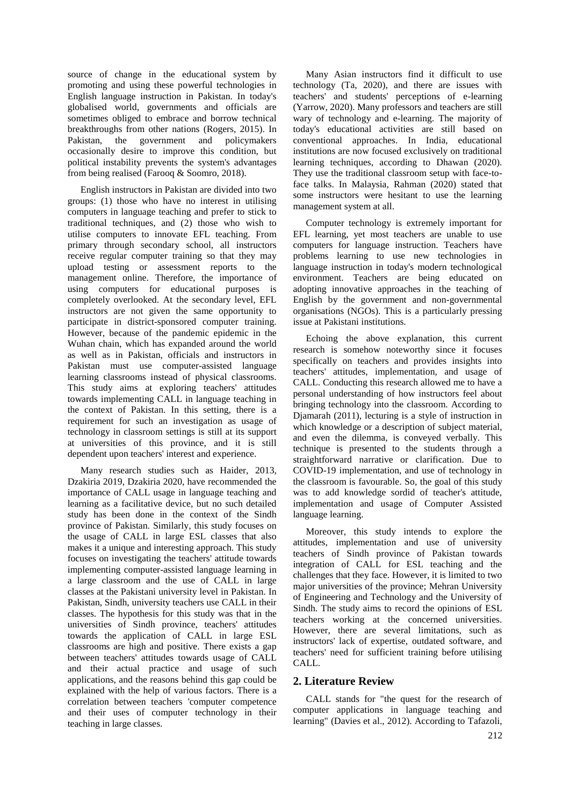source of change in the educational system by promoting and using these powerful technologies in English language instruction in Pakistan. In today's globalised world, governments and officials are sometimes obliged to embrace and borrow technical breakthroughs from other nations (Rogers, 2015). In Pakistan, the government and policymakers occasionally desire to improve this condition, but political instability prevents the system's advantages from being realised (Farooq & Soomro, 2018).

English instructors in Pakistan are divided into two groups: (1) those who have no interest in utilising computers in language teaching and prefer to stick to traditional techniques, and (2) those who wish to utilise computers to innovate EFL teaching. From primary through secondary school, all instructors receive regular computer training so that they may upload testing or assessment reports to the management online. Therefore, the importance of using computers for educational purposes is completely overlooked. At the secondary level, EFL instructors are not given the same opportunity to participate in district-sponsored computer training. However, because of the pandemic epidemic in the Wuhan chain, which has expanded around the world as well as in Pakistan, officials and instructors in Pakistan must use computer-assisted language learning classrooms instead of physical classrooms. This study aims at exploring teachers' attitudes towards implementing CALL in language teaching in the context of Pakistan. In this setting, there is a requirement for such an investigation as usage of technology in classroom settings is still at its support at universities of this province, and it is still dependent upon teachers' interest and experience.

Many research studies such as Haider, 2013, Dzakiria 2019, Dzakiria 2020, have recommended the importance of CALL usage in language teaching and learning as a facilitative device, but no such detailed study has been done in the context of the Sindh province of Pakistan. Similarly, this study focuses on the usage of CALL in large ESL classes that also makes it a unique and interesting approach. This study focuses on investigating the teachers' attitude towards implementing computer-assisted language learning in a large classroom and the use of CALL in large classes at the Pakistani university level in Pakistan. In Pakistan, Sindh, university teachers use CALL in their classes. The hypothesis for this study was that in the universities of Sindh province, teachers' attitudes towards the application of CALL in large ESL classrooms are high and positive. There exists a gap between teachers' attitudes towards usage of CALL and their actual practice and usage of such applications, and the reasons behind this gap could be explained with the help of various factors. There is a correlation between teachers 'computer competence and their uses of computer technology in their teaching in large classes.

Many Asian instructors find it difficult to use technology (Ta, 2020), and there are issues with teachers' and students' perceptions of e-learning (Yarrow, 2020). Many professors and teachers are still wary of technology and e-learning. The majority of today's educational activities are still based on conventional approaches. In India, educational institutions are now focused exclusively on traditional learning techniques, according to Dhawan (2020). They use the traditional classroom setup with face-toface talks. In Malaysia, Rahman (2020) stated that some instructors were hesitant to use the learning management system at all.

Computer technology is extremely important for EFL learning, yet most teachers are unable to use computers for language instruction. Teachers have problems learning to use new technologies in language instruction in today's modern technological environment. Teachers are being educated on adopting innovative approaches in the teaching of English by the government and non-governmental organisations (NGOs). This is a particularly pressing issue at Pakistani institutions.

Echoing the above explanation, this current research is somehow noteworthy since it focuses specifically on teachers and provides insights into teachers' attitudes, implementation, and usage of CALL. Conducting this research allowed me to have a personal understanding of how instructors feel about bringing technology into the classroom. According to Djamarah (2011), lecturing is a style of instruction in which knowledge or a description of subject material. and even the dilemma, is conveyed verbally. This technique is presented to the students through a straightforward narrative or clarification. Due to COVID-19 implementation, and use of technology in the classroom is favourable. So, the goal of this study was to add knowledge sordid of teacher's attitude, implementation and usage of Computer Assisted language learning.

Moreover, this study intends to explore the attitudes, implementation and use of university teachers of Sindh province of Pakistan towards integration of CALL for ESL teaching and the challenges that they face. However, it is limited to two major universities of the province; Mehran University of Engineering and Technology and the University of Sindh. The study aims to record the opinions of ESL teachers working at the concerned universities. However, there are several limitations, such as instructors' lack of expertise, outdated software, and teachers' need for sufficient training before utilising CALL.

# **2. Literature Review**

CALL stands for "the quest for the research of computer applications in language teaching and learning" (Davies et al., 2012). According to Tafazoli,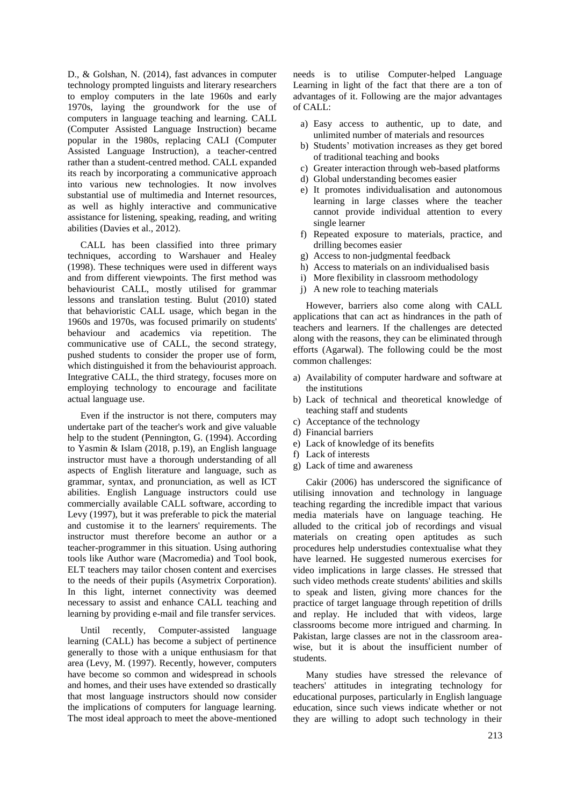D., & Golshan, N. (2014), fast advances in computer technology prompted linguists and literary researchers to employ computers in the late 1960s and early 1970s, laying the groundwork for the use of computers in language teaching and learning. CALL (Computer Assisted Language Instruction) became popular in the 1980s, replacing CALI (Computer Assisted Language Instruction), a teacher-centred rather than a student-centred method. CALL expanded its reach by incorporating a communicative approach into various new technologies. It now involves substantial use of multimedia and Internet resources, as well as highly interactive and communicative assistance for listening, speaking, reading, and writing abilities (Davies et al., 2012).

CALL has been classified into three primary techniques, according to Warshauer and Healey (1998). These techniques were used in different ways and from different viewpoints. The first method was behaviourist CALL, mostly utilised for grammar lessons and translation testing. Bulut (2010) stated that behavioristic CALL usage, which began in the 1960s and 1970s, was focused primarily on students' behaviour and academics via repetition. The communicative use of CALL, the second strategy, pushed students to consider the proper use of form, which distinguished it from the behaviourist approach. Integrative CALL, the third strategy, focuses more on employing technology to encourage and facilitate actual language use.

Even if the instructor is not there, computers may undertake part of the teacher's work and give valuable help to the student (Pennington, G. (1994). According to Yasmin & Islam (2018, p.19), an English language instructor must have a thorough understanding of all aspects of English literature and language, such as grammar, syntax, and pronunciation, as well as ICT abilities. English Language instructors could use commercially available CALL software, according to Levy (1997), but it was preferable to pick the material and customise it to the learners' requirements. The instructor must therefore become an author or a teacher-programmer in this situation. Using authoring tools like Author ware (Macromedia) and Tool book, ELT teachers may tailor chosen content and exercises to the needs of their pupils (Asymetrix Corporation). In this light, internet connectivity was deemed necessary to assist and enhance CALL teaching and learning by providing e-mail and file transfer services.

Until recently, Computer-assisted language learning (CALL) has become a subject of pertinence generally to those with a unique enthusiasm for that area (Levy, M. (1997). Recently, however, computers have become so common and widespread in schools and homes, and their uses have extended so drastically that most language instructors should now consider the implications of computers for language learning. The most ideal approach to meet the above-mentioned

needs is to utilise Computer-helped Language Learning in light of the fact that there are a ton of advantages of it. Following are the major advantages of CALL:

- a) Easy access to authentic, up to date, and unlimited number of materials and resources
- b) Students' motivation increases as they get bored of traditional teaching and books
- c) Greater interaction through web-based platforms
- d) Global understanding becomes easier
- e) It promotes individualisation and autonomous learning in large classes where the teacher cannot provide individual attention to every single learner
- f) Repeated exposure to materials, practice, and drilling becomes easier
- g) Access to non-judgmental feedback
- h) Access to materials on an individualised basis
- i) More flexibility in classroom methodology
- j) A new role to teaching materials

However, barriers also come along with CALL applications that can act as hindrances in the path of teachers and learners. If the challenges are detected along with the reasons, they can be eliminated through efforts (Agarwal). The following could be the most common challenges:

- a) Availability of computer hardware and software at the institutions
- b) Lack of technical and theoretical knowledge of teaching staff and students
- c) Acceptance of the technology
- d) Financial barriers
- e) Lack of knowledge of its benefits
- f) Lack of interests
- g) Lack of time and awareness

Cakir (2006) has underscored the significance of utilising innovation and technology in language teaching regarding the incredible impact that various media materials have on language teaching. He alluded to the critical job of recordings and visual materials on creating open aptitudes as such procedures help understudies contextualise what they have learned. He suggested numerous exercises for video implications in large classes. He stressed that such video methods create students' abilities and skills to speak and listen, giving more chances for the practice of target language through repetition of drills and replay. He included that with videos, large classrooms become more intrigued and charming. In Pakistan, large classes are not in the classroom areawise, but it is about the insufficient number of students.

Many studies have stressed the relevance of teachers' attitudes in integrating technology for educational purposes, particularly in English language education, since such views indicate whether or not they are willing to adopt such technology in their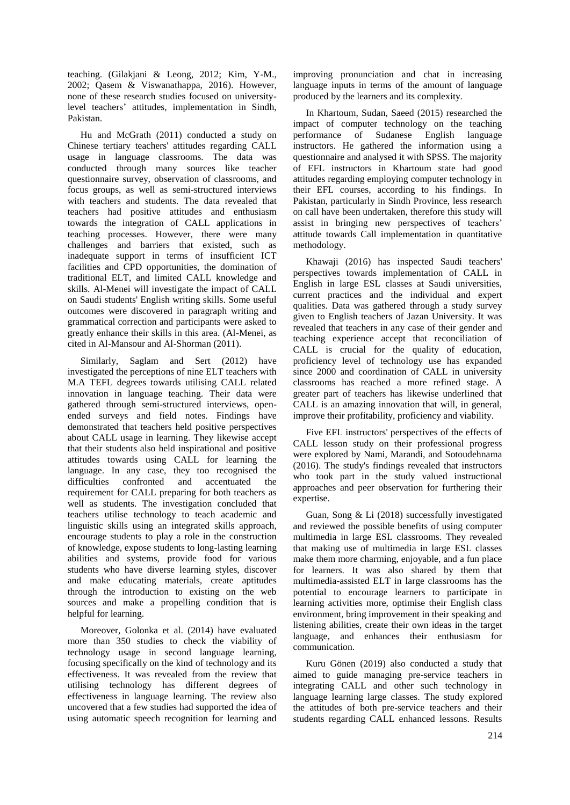teaching. (Gilakjani & Leong, 2012; Kim, Y-M., 2002; Qasem & Viswanathappa, 2016). However, none of these research studies focused on universitylevel teachers' attitudes, implementation in Sindh, Pakistan.

Hu and McGrath (2011) conducted a study on Chinese tertiary teachers' attitudes regarding CALL usage in language classrooms. The data was conducted through many sources like teacher questionnaire survey, observation of classrooms, and focus groups, as well as semi-structured interviews with teachers and students. The data revealed that teachers had positive attitudes and enthusiasm towards the integration of CALL applications in teaching processes. However, there were many challenges and barriers that existed, such as inadequate support in terms of insufficient ICT facilities and CPD opportunities, the domination of traditional ELT, and limited CALL knowledge and skills. Al-Menei will investigate the impact of CALL on Saudi students' English writing skills. Some useful outcomes were discovered in paragraph writing and grammatical correction and participants were asked to greatly enhance their skills in this area. (Al-Menei, as cited in Al-Mansour and Al-Shorman (2011).

Similarly, Saglam and Sert (2012) have investigated the perceptions of nine ELT teachers with M.A TEFL degrees towards utilising CALL related innovation in language teaching. Their data were gathered through semi-structured interviews, openended surveys and field notes. Findings have demonstrated that teachers held positive perspectives about CALL usage in learning. They likewise accept that their students also held inspirational and positive attitudes towards using CALL for learning the language. In any case, they too recognised the difficulties confronted and accentuated the requirement for CALL preparing for both teachers as well as students. The investigation concluded that teachers utilise technology to teach academic and linguistic skills using an integrated skills approach, encourage students to play a role in the construction of knowledge, expose students to long-lasting learning abilities and systems, provide food for various students who have diverse learning styles, discover and make educating materials, create aptitudes through the introduction to existing on the web sources and make a propelling condition that is helpful for learning.

Moreover, Golonka et al. (2014) have evaluated more than 350 studies to check the viability of technology usage in second language learning, focusing specifically on the kind of technology and its effectiveness. It was revealed from the review that utilising technology has different degrees of effectiveness in language learning. The review also uncovered that a few studies had supported the idea of using automatic speech recognition for learning and

improving pronunciation and chat in increasing language inputs in terms of the amount of language produced by the learners and its complexity.

In Khartoum, Sudan, Saeed (2015) researched the impact of computer technology on the teaching performance of Sudanese English language instructors. He gathered the information using a questionnaire and analysed it with SPSS. The majority of EFL instructors in Khartoum state had good attitudes regarding employing computer technology in their EFL courses, according to his findings. In Pakistan, particularly in Sindh Province, less research on call have been undertaken, therefore this study will assist in bringing new perspectives of teachers' attitude towards Call implementation in quantitative methodology.

Khawaji (2016) has inspected Saudi teachers' perspectives towards implementation of CALL in English in large ESL classes at Saudi universities, current practices and the individual and expert qualities. Data was gathered through a study survey given to English teachers of Jazan University. It was revealed that teachers in any case of their gender and teaching experience accept that reconciliation of CALL is crucial for the quality of education, proficiency level of technology use has expanded since 2000 and coordination of CALL in university classrooms has reached a more refined stage. A greater part of teachers has likewise underlined that CALL is an amazing innovation that will, in general, improve their profitability, proficiency and viability.

Five EFL instructors' perspectives of the effects of CALL lesson study on their professional progress were explored by Nami, Marandi, and Sotoudehnama (2016). The study's findings revealed that instructors who took part in the study valued instructional approaches and peer observation for furthering their expertise.

Guan, Song & Li (2018) successfully investigated and reviewed the possible benefits of using computer multimedia in large ESL classrooms. They revealed that making use of multimedia in large ESL classes make them more charming, enjoyable, and a fun place for learners. It was also shared by them that multimedia-assisted ELT in large classrooms has the potential to encourage learners to participate in learning activities more, optimise their English class environment, bring improvement in their speaking and listening abilities, create their own ideas in the target language, and enhances their enthusiasm for communication.

Kuru Gönen (2019) also conducted a study that aimed to guide managing pre-service teachers in integrating CALL and other such technology in language learning large classes. The study explored the attitudes of both pre-service teachers and their students regarding CALL enhanced lessons. Results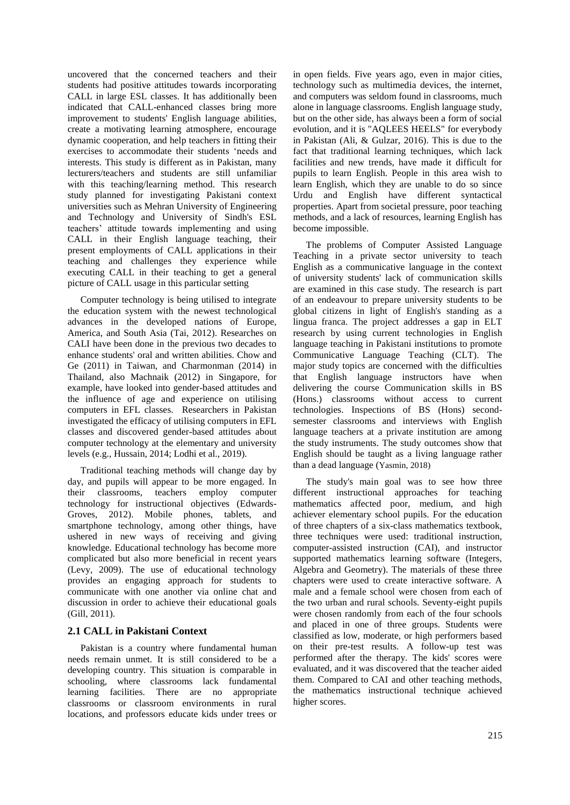uncovered that the concerned teachers and their students had positive attitudes towards incorporating CALL in large ESL classes. It has additionally been indicated that CALL-enhanced classes bring more improvement to students' English language abilities, create a motivating learning atmosphere, encourage dynamic cooperation, and help teachers in fitting their exercises to accommodate their students 'needs and interests. This study is different as in Pakistan, many lecturers/teachers and students are still unfamiliar with this teaching/learning method. This research study planned for investigating Pakistani context universities such as Mehran University of Engineering and Technology and University of Sindh's ESL teachers' attitude towards implementing and using CALL in their English language teaching, their present employments of CALL applications in their teaching and challenges they experience while executing CALL in their teaching to get a general picture of CALL usage in this particular setting

Computer technology is being utilised to integrate the education system with the newest technological advances in the developed nations of Europe, America, and South Asia (Tai, 2012). Researches on CALI have been done in the previous two decades to enhance students' oral and written abilities. Chow and Ge (2011) in Taiwan, and Charmonman (2014) in Thailand, also Machnaik (2012) in Singapore, for example, have looked into gender-based attitudes and the influence of age and experience on utilising computers in EFL classes. Researchers in Pakistan investigated the efficacy of utilising computers in EFL classes and discovered gender-based attitudes about computer technology at the elementary and university levels (e.g., Hussain, 2014; Lodhi et al., 2019).

Traditional teaching methods will change day by day, and pupils will appear to be more engaged. In their classrooms, teachers employ computer technology for instructional objectives (Edwards-Groves, 2012). Mobile phones, tablets, and smartphone technology, among other things, have ushered in new ways of receiving and giving knowledge. Educational technology has become more complicated but also more beneficial in recent years (Levy, 2009). The use of educational technology provides an engaging approach for students to communicate with one another via online chat and discussion in order to achieve their educational goals (Gill, 2011).

#### **2.1 CALL in Pakistani Context**

Pakistan is a country where fundamental human needs remain unmet. It is still considered to be a developing country. This situation is comparable in schooling, where classrooms lack fundamental learning facilities. There are no appropriate classrooms or classroom environments in rural locations, and professors educate kids under trees or

in open fields. Five years ago, even in major cities, technology such as multimedia devices, the internet, and computers was seldom found in classrooms, much alone in language classrooms. English language study, but on the other side, has always been a form of social evolution, and it is "AQLEES HEELS" for everybody in Pakistan (Ali, & Gulzar, 2016). This is due to the fact that traditional learning techniques, which lack facilities and new trends, have made it difficult for pupils to learn English. People in this area wish to learn English, which they are unable to do so since Urdu and English have different syntactical properties. Apart from societal pressure, poor teaching methods, and a lack of resources, learning English has become impossible.

The problems of Computer Assisted Language Teaching in a private sector university to teach English as a communicative language in the context of university students' lack of communication skills are examined in this case study. The research is part of an endeavour to prepare university students to be global citizens in light of English's standing as a lingua franca. The project addresses a gap in ELT research by using current technologies in English language teaching in Pakistani institutions to promote Communicative Language Teaching (CLT). The major study topics are concerned with the difficulties that English language instructors have when delivering the course Communication skills in BS (Hons.) classrooms without access to current technologies. Inspections of BS (Hons) secondsemester classrooms and interviews with English language teachers at a private institution are among the study instruments. The study outcomes show that English should be taught as a living language rather than a dead language (Yasmin, 2018)

The study's main goal was to see how three different instructional approaches for teaching mathematics affected poor, medium, and high achiever elementary school pupils. For the education of three chapters of a six-class mathematics textbook, three techniques were used: traditional instruction, computer-assisted instruction (CAI), and instructor supported mathematics learning software (Integers, Algebra and Geometry). The materials of these three chapters were used to create interactive software. A male and a female school were chosen from each of the two urban and rural schools. Seventy-eight pupils were chosen randomly from each of the four schools and placed in one of three groups. Students were classified as low, moderate, or high performers based on their pre-test results. A follow-up test was performed after the therapy. The kids' scores were evaluated, and it was discovered that the teacher aided them. Compared to CAI and other teaching methods, the mathematics instructional technique achieved higher scores.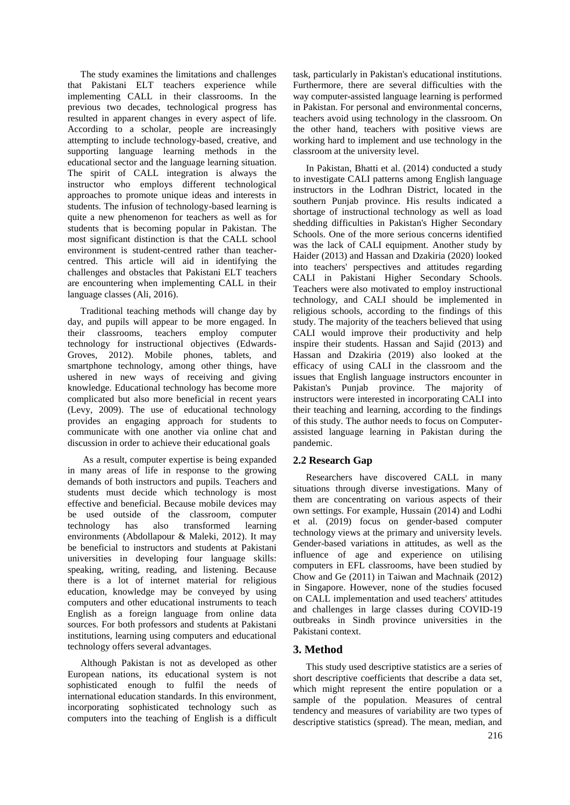The study examines the limitations and challenges that Pakistani ELT teachers experience while implementing CALL in their classrooms. In the previous two decades, technological progress has resulted in apparent changes in every aspect of life. According to a scholar, people are increasingly attempting to include technology-based, creative, and supporting language learning methods in the educational sector and the language learning situation. The spirit of CALL integration is always the instructor who employs different technological approaches to promote unique ideas and interests in students. The infusion of technology-based learning is quite a new phenomenon for teachers as well as for students that is becoming popular in Pakistan. The most significant distinction is that the CALL school environment is student-centred rather than teachercentred. This article will aid in identifying the challenges and obstacles that Pakistani ELT teachers are encountering when implementing CALL in their language classes (Ali, 2016).

Traditional teaching methods will change day by day, and pupils will appear to be more engaged. In their classrooms, teachers employ computer technology for instructional objectives (Edwards-Groves, 2012). Mobile phones, tablets, and smartphone technology, among other things, have ushered in new ways of receiving and giving knowledge. Educational technology has become more complicated but also more beneficial in recent years (Levy, 2009). The use of educational technology provides an engaging approach for students to communicate with one another via online chat and discussion in order to achieve their educational goals

As a result, computer expertise is being expanded in many areas of life in response to the growing demands of both instructors and pupils. Teachers and students must decide which technology is most effective and beneficial. Because mobile devices may be used outside of the classroom, computer technology has also transformed learning environments (Abdollapour & Maleki, 2012). It may be beneficial to instructors and students at Pakistani universities in developing four language skills: speaking, writing, reading, and listening. Because there is a lot of internet material for religious education, knowledge may be conveyed by using computers and other educational instruments to teach English as a foreign language from online data sources. For both professors and students at Pakistani institutions, learning using computers and educational technology offers several advantages.

Although Pakistan is not as developed as other European nations, its educational system is not sophisticated enough to fulfil the needs of international education standards. In this environment, incorporating sophisticated technology such as computers into the teaching of English is a difficult

task, particularly in Pakistan's educational institutions. Furthermore, there are several difficulties with the way computer-assisted language learning is performed in Pakistan. For personal and environmental concerns, teachers avoid using technology in the classroom. On the other hand, teachers with positive views are working hard to implement and use technology in the classroom at the university level.

In Pakistan, Bhatti et al. (2014) conducted a study to investigate CALI patterns among English language instructors in the Lodhran District, located in the southern Punjab province. His results indicated a shortage of instructional technology as well as load shedding difficulties in Pakistan's Higher Secondary Schools. One of the more serious concerns identified was the lack of CALI equipment. Another study by Haider (2013) and Hassan and Dzakiria (2020) looked into teachers' perspectives and attitudes regarding CALI in Pakistani Higher Secondary Schools. Teachers were also motivated to employ instructional technology, and CALI should be implemented in religious schools, according to the findings of this study. The majority of the teachers believed that using CALI would improve their productivity and help inspire their students. Hassan and Sajid (2013) and Hassan and Dzakiria (2019) also looked at the efficacy of using CALI in the classroom and the issues that English language instructors encounter in Pakistan's Punjab province. The majority of instructors were interested in incorporating CALI into their teaching and learning, according to the findings of this study. The author needs to focus on Computerassisted language learning in Pakistan during the pandemic.

# **2.2 Research Gap**

Researchers have discovered CALL in many situations through diverse investigations. Many of them are concentrating on various aspects of their own settings. For example, Hussain (2014) and Lodhi et al. (2019) focus on gender-based computer technology views at the primary and university levels. Gender-based variations in attitudes, as well as the influence of age and experience on utilising computers in EFL classrooms, have been studied by Chow and Ge (2011) in Taiwan and Machnaik (2012) in Singapore. However, none of the studies focused on CALL implementation and used teachers' attitudes and challenges in large classes during COVID-19 outbreaks in Sindh province universities in the Pakistani context.

# **3. Method**

This study used descriptive statistics are a series of short descriptive coefficients that describe a data set, which might represent the entire population or a sample of the population. Measures of central tendency and measures of variability are two types of descriptive statistics (spread). The mean, median, and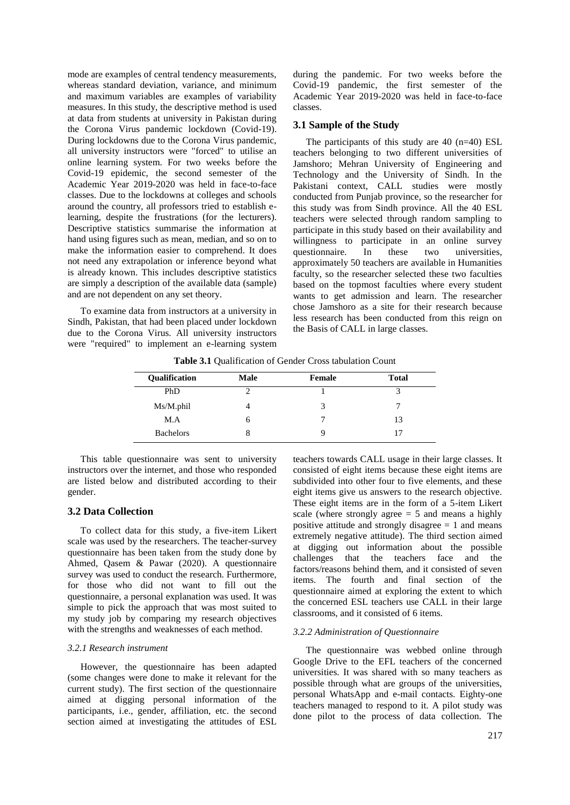mode are examples of central tendency measurements, whereas standard deviation, variance, and minimum and maximum variables are examples of variability measures. In this study, the descriptive method is used at data from students at university in Pakistan during the Corona Virus pandemic lockdown (Covid-19). During lockdowns due to the Corona Virus pandemic, all university instructors were "forced" to utilise an online learning system. For two weeks before the Covid-19 epidemic, the second semester of the Academic Year 2019-2020 was held in face-to-face classes. Due to the lockdowns at colleges and schools around the country, all professors tried to establish elearning, despite the frustrations (for the lecturers). Descriptive statistics summarise the information at hand using figures such as mean, median, and so on to make the information easier to comprehend. It does not need any extrapolation or inference beyond what is already known. This includes descriptive statistics are simply a description of the available data (sample) and are not dependent on any set theory.

To examine data from instructors at a university in Sindh, Pakistan, that had been placed under lockdown due to the Corona Virus. All university instructors were "required" to implement an e-learning system

during the pandemic. For two weeks before the Covid-19 pandemic, the first semester of the Academic Year 2019-2020 was held in face-to-face classes.

#### **3.1 Sample of the Study**

The participants of this study are 40 (n=40) ESL teachers belonging to two different universities of Jamshoro; Mehran University of Engineering and Technology and the University of Sindh. In the Pakistani context, CALL studies were mostly conducted from Punjab province, so the researcher for this study was from Sindh province. All the 40 ESL teachers were selected through random sampling to participate in this study based on their availability and willingness to participate in an online survey questionnaire. In these two universities, approximately 50 teachers are available in Humanities faculty, so the researcher selected these two faculties based on the topmost faculties where every student wants to get admission and learn. The researcher chose Jamshoro as a site for their research because less research has been conducted from this reign on the Basis of CALL in large classes.

| Male | Female | <b>Total</b> |
|------|--------|--------------|
|      |        |              |
|      |        |              |
| n    |        | 13           |
| 8    |        |              |
|      |        |              |

**Table 3.1** Qualification of Gender Cross tabulation Count

This table questionnaire was sent to university instructors over the internet, and those who responded are listed below and distributed according to their gender.

#### **3.2 Data Collection**

To collect data for this study, a five-item Likert scale was used by the researchers. The teacher-survey questionnaire has been taken from the study done by Ahmed, Qasem & Pawar (2020). A questionnaire survey was used to conduct the research. Furthermore, for those who did not want to fill out the questionnaire, a personal explanation was used. It was simple to pick the approach that was most suited to my study job by comparing my research objectives with the strengths and weaknesses of each method.

#### *3.2.1 Research instrument*

However, the questionnaire has been adapted (some changes were done to make it relevant for the current study). The first section of the questionnaire aimed at digging personal information of the participants, i.e., gender, affiliation, etc. the second section aimed at investigating the attitudes of ESL

teachers towards CALL usage in their large classes. It consisted of eight items because these eight items are subdivided into other four to five elements, and these eight items give us answers to the research objective. These eight items are in the form of a 5-item Likert scale (where strongly agree  $= 5$  and means a highly positive attitude and strongly disagree  $= 1$  and means extremely negative attitude). The third section aimed at digging out information about the possible challenges that the teachers face and the factors/reasons behind them, and it consisted of seven items. The fourth and final section of the questionnaire aimed at exploring the extent to which the concerned ESL teachers use CALL in their large classrooms, and it consisted of 6 items.

#### *3.2.2 Administration of Questionnaire*

The questionnaire was webbed online through Google Drive to the EFL teachers of the concerned universities. It was shared with so many teachers as possible through what are groups of the universities, personal WhatsApp and e-mail contacts. Eighty-one teachers managed to respond to it. A pilot study was done pilot to the process of data collection. The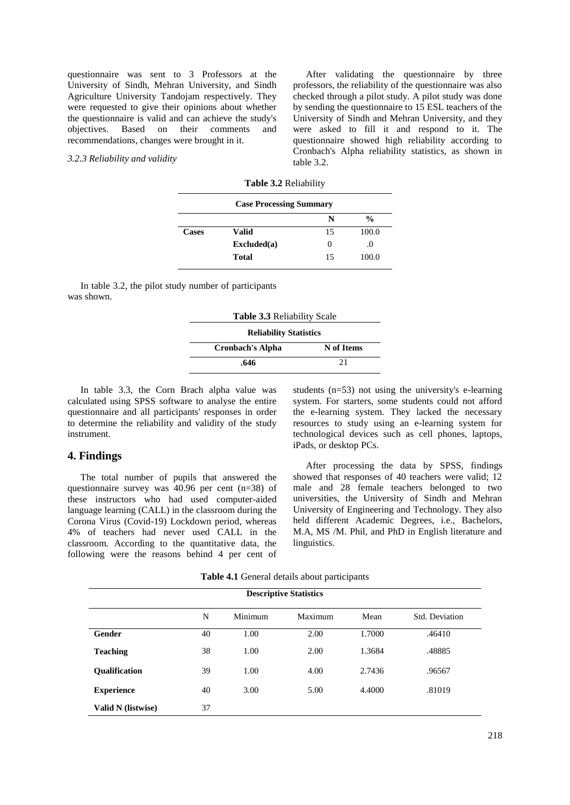questionnaire was sent to 3 Professors at the University of Sindh, Mehran University, and Sindh Agriculture University Tandojam respectively. They were requested to give their opinions about whether the questionnaire is valid and can achieve the study's objectives. Based on their comments and recommendations, changes were brought in it.

#### *3.2.3 Reliability and validity*

After validating the questionnaire by three professors, the reliability of the questionnaire was also checked through a pilot study. A pilot study was done by sending the questionnaire to 15 ESL teachers of the University of Sindh and Mehran University, and they were asked to fill it and respond to it. The questionnaire showed high reliability according to Cronbach's Alpha reliability statistics, as shown in table 3.2.

| <b>Case Processing Summary</b> |                                     |    |               |  |  |
|--------------------------------|-------------------------------------|----|---------------|--|--|
|                                |                                     | N  | $\frac{0}{0}$ |  |  |
| <b>Cases</b>                   | Valid                               | 15 | 100.0         |  |  |
|                                | $\boldsymbol{\mathrm{Excluded}}(a)$ | 0  | .0            |  |  |
|                                | Total                               | 15 | 100.0         |  |  |

In table 3.2, the pilot study number of participants was shown.

| <b>Table 3.3 Reliability Scale</b> |            |  |  |  |  |  |
|------------------------------------|------------|--|--|--|--|--|
| <b>Reliability Statistics</b>      |            |  |  |  |  |  |
| <b>Cronbach's Alpha</b>            | N of Items |  |  |  |  |  |
| 21<br>.646                         |            |  |  |  |  |  |

In table 3.3, the Corn Brach alpha value was calculated using SPSS software to analyse the entire questionnaire and all participants' responses in order to determine the reliability and validity of the study instrument.

#### **4. Findings**

The total number of pupils that answered the questionnaire survey was  $40.96$  per cent (n=38) of these instructors who had used computer-aided language learning (CALL) in the classroom during the Corona Virus (Covid-19) Lockdown period, whereas 4% of teachers had never used CALL in the classroom. According to the quantitative data, the following were the reasons behind 4 per cent of

students (n=53) not using the university's e-learning system. For starters, some students could not afford the e-learning system. They lacked the necessary resources to study using an e-learning system for technological devices such as cell phones, laptops, iPads, or desktop PCs.

After processing the data by SPSS, findings showed that responses of 40 teachers were valid; 12 male and 28 female teachers belonged to two universities, the University of Sindh and Mehran University of Engineering and Technology. They also held different Academic Degrees, i.e., Bachelors, M.A, MS /M. Phil, and PhD in English literature and linguistics.

| Table 4.1 General details about participants |  |  |  |  |  |
|----------------------------------------------|--|--|--|--|--|
|----------------------------------------------|--|--|--|--|--|

| <b>Descriptive Statistics</b> |    |         |         |        |                |
|-------------------------------|----|---------|---------|--------|----------------|
|                               | N  | Minimum | Maximum | Mean   | Std. Deviation |
| Gender                        | 40 | 1.00    | 2.00    | 1.7000 | .46410         |
| <b>Teaching</b>               | 38 | 1.00    | 2.00    | 1.3684 | .48885         |
| <b>Oualification</b>          | 39 | 1.00    | 4.00    | 2.7436 | .96567         |
| <b>Experience</b>             | 40 | 3.00    | 5.00    | 4.4000 | .81019         |
| Valid N (listwise)            | 37 |         |         |        |                |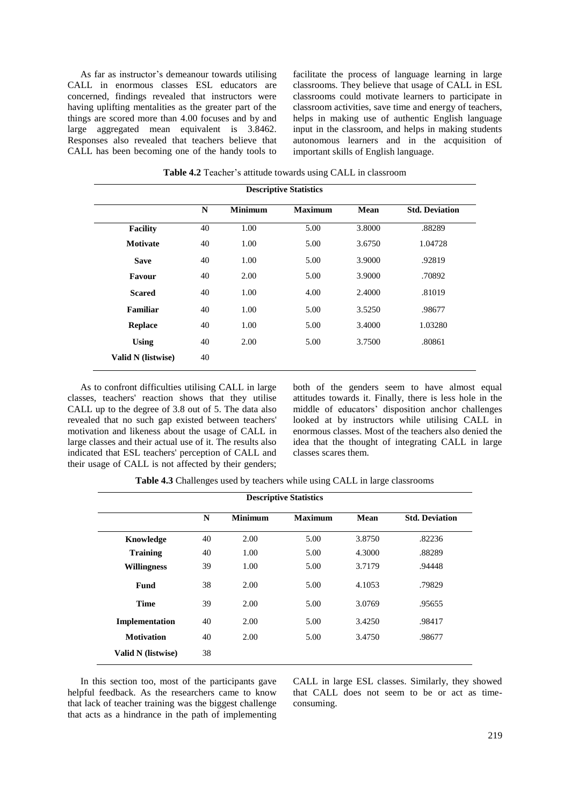As far as instructor's demeanour towards utilising CALL in enormous classes ESL educators are concerned, findings revealed that instructors were having uplifting mentalities as the greater part of the things are scored more than 4.00 focuses and by and large aggregated mean equivalent is 3.8462. Responses also revealed that teachers believe that CALL has been becoming one of the handy tools to facilitate the process of language learning in large classrooms. They believe that usage of CALL in ESL classrooms could motivate learners to participate in classroom activities, save time and energy of teachers, helps in making use of authentic English language input in the classroom, and helps in making students autonomous learners and in the acquisition of important skills of English language.

| <b>Descriptive Statistics</b> |    |                |                |        |                       |
|-------------------------------|----|----------------|----------------|--------|-----------------------|
|                               | N  | <b>Minimum</b> | <b>Maximum</b> | Mean   | <b>Std. Deviation</b> |
| <b>Facility</b>               | 40 | 1.00           | 5.00           | 3.8000 | .88289                |
| <b>Motivate</b>               | 40 | 1.00           | 5.00           | 3.6750 | 1.04728               |
| <b>Save</b>                   | 40 | 1.00           | 5.00           | 3.9000 | .92819                |
| Favour                        | 40 | 2.00           | 5.00           | 3.9000 | .70892                |
| <b>Scared</b>                 | 40 | 1.00           | 4.00           | 2.4000 | .81019                |
| <b>Familiar</b>               | 40 | 1.00           | 5.00           | 3.5250 | .98677                |
| <b>Replace</b>                | 40 | 1.00           | 5.00           | 3.4000 | 1.03280               |
| <b>Using</b>                  | 40 | 2.00           | 5.00           | 3.7500 | .80861                |
| Valid N (listwise)            | 40 |                |                |        |                       |

**Table 4.2** Teacher's attitude towards using CALL in classroom

As to confront difficulties utilising CALL in large classes, teachers' reaction shows that they utilise CALL up to the degree of 3.8 out of 5. The data also revealed that no such gap existed between teachers' motivation and likeness about the usage of CALL in large classes and their actual use of it. The results also indicated that ESL teachers' perception of CALL and their usage of CALL is not affected by their genders; both of the genders seem to have almost equal attitudes towards it. Finally, there is less hole in the middle of educators' disposition anchor challenges looked at by instructors while utilising CALL in enormous classes. Most of the teachers also denied the idea that the thought of integrating CALL in large classes scares them.

**Table 4.3** Challenges used by teachers while using CALL in large classrooms

| <b>Descriptive Statistics</b> |    |                |                |        |                       |
|-------------------------------|----|----------------|----------------|--------|-----------------------|
|                               | N  | <b>Minimum</b> | <b>Maximum</b> | Mean   | <b>Std. Deviation</b> |
| Knowledge                     | 40 | 2.00           | 5.00           | 3.8750 | .82236                |
| <b>Training</b>               | 40 | 1.00           | 5.00           | 4.3000 | .88289                |
| <b>Willingness</b>            | 39 | 1.00           | 5.00           | 3.7179 | .94448                |
| <b>Fund</b>                   | 38 | 2.00           | 5.00           | 4.1053 | .79829                |
| <b>Time</b>                   | 39 | 2.00           | 5.00           | 3.0769 | .95655                |
| Implementation                | 40 | 2.00           | 5.00           | 3.4250 | .98417                |
| <b>Motivation</b>             | 40 | 2.00           | 5.00           | 3.4750 | .98677                |
| Valid N (listwise)            | 38 |                |                |        |                       |

In this section too, most of the participants gave helpful feedback. As the researchers came to know that lack of teacher training was the biggest challenge that acts as a hindrance in the path of implementing CALL in large ESL classes. Similarly, they showed that CALL does not seem to be or act as timeconsuming.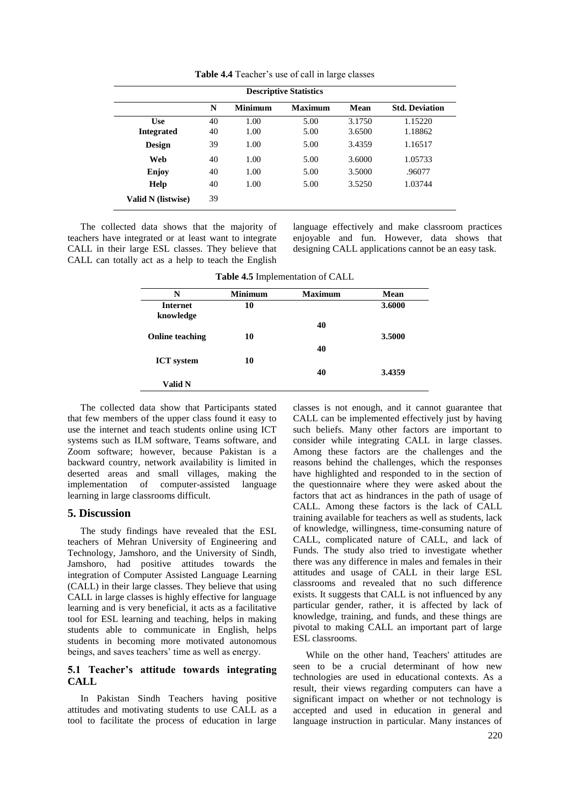| <b>Descriptive Statistics</b> |    |                |                |        |                       |
|-------------------------------|----|----------------|----------------|--------|-----------------------|
|                               | N  | <b>Minimum</b> | <b>Maximum</b> | Mean   | <b>Std. Deviation</b> |
| <b>Use</b>                    | 40 | 1.00           | 5.00           | 3.1750 | 1.15220               |
| <b>Integrated</b>             | 40 | 1.00           | 5.00           | 3.6500 | 1.18862               |
| <b>Design</b>                 | 39 | 1.00           | 5.00           | 3.4359 | 1.16517               |
| Web                           | 40 | 1.00           | 5.00           | 3.6000 | 1.05733               |
| Enjoy                         | 40 | 1.00           | 5.00           | 3.5000 | .96077                |
| <b>Help</b>                   | 40 | 1.00           | 5.00           | 3.5250 | 1.03744               |
| Valid N (listwise)            | 39 |                |                |        |                       |

**Table 4.4** Teacher's use of call in large classes

The collected data shows that the majority of teachers have integrated or at least want to integrate CALL in their large ESL classes. They believe that CALL can totally act as a help to teach the English language effectively and make classroom practices enjoyable and fun. However, data shows that designing CALL applications cannot be an easy task.

**Table 4.5** Implementation of CALL

| N                      | <b>Minimum</b> | <b>Maximum</b> | Mean   |
|------------------------|----------------|----------------|--------|
| <b>Internet</b>        | 10             |                | 3.6000 |
| knowledge              |                |                |        |
|                        |                | 40             |        |
| <b>Online teaching</b> | 10             |                | 3.5000 |
|                        |                | 40             |        |
| <b>ICT</b> system      | 10             |                |        |
|                        |                | 40             | 3.4359 |
| Valid N                |                |                |        |

The collected data show that Participants stated that few members of the upper class found it easy to use the internet and teach students online using ICT systems such as ILM software, Teams software, and Zoom software; however, because Pakistan is a backward country, network availability is limited in deserted areas and small villages, making the implementation of computer-assisted language learning in large classrooms difficult.

#### **5. Discussion**

The study findings have revealed that the ESL teachers of Mehran University of Engineering and Technology, Jamshoro, and the University of Sindh, Jamshoro, had positive attitudes towards the integration of Computer Assisted Language Learning (CALL) in their large classes. They believe that using CALL in large classes is highly effective for language learning and is very beneficial, it acts as a facilitative tool for ESL learning and teaching, helps in making students able to communicate in English, helps students in becoming more motivated autonomous beings, and saves teachers' time as well as energy.

### **5.1 Teacher's attitude towards integrating CALL**

In Pakistan Sindh Teachers having positive attitudes and motivating students to use CALL as a tool to facilitate the process of education in large classes is not enough, and it cannot guarantee that CALL can be implemented effectively just by having such beliefs. Many other factors are important to consider while integrating CALL in large classes. Among these factors are the challenges and the reasons behind the challenges, which the responses have highlighted and responded to in the section of the questionnaire where they were asked about the factors that act as hindrances in the path of usage of CALL. Among these factors is the lack of CALL training available for teachers as well as students, lack of knowledge, willingness, time-consuming nature of CALL, complicated nature of CALL, and lack of Funds. The study also tried to investigate whether there was any difference in males and females in their attitudes and usage of CALL in their large ESL classrooms and revealed that no such difference exists. It suggests that CALL is not influenced by any particular gender, rather, it is affected by lack of knowledge, training, and funds, and these things are pivotal to making CALL an important part of large ESL classrooms.

While on the other hand, Teachers' attitudes are seen to be a crucial determinant of how new technologies are used in educational contexts. As a result, their views regarding computers can have a significant impact on whether or not technology is accepted and used in education in general and language instruction in particular. Many instances of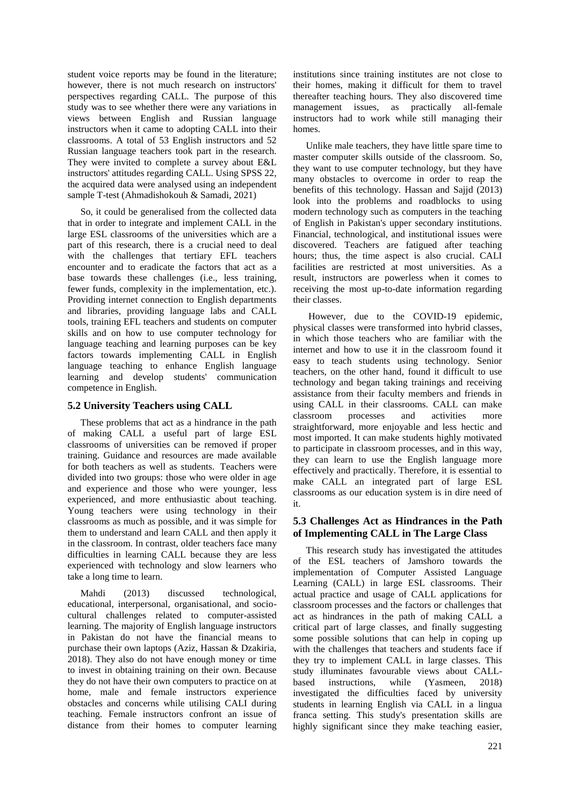student voice reports may be found in the literature; however, there is not much research on instructors' perspectives regarding CALL. The purpose of this study was to see whether there were any variations in views between English and Russian language instructors when it came to adopting CALL into their classrooms. A total of 53 English instructors and 52 Russian language teachers took part in the research. They were invited to complete a survey about E&L instructors' attitudes regarding CALL. Using SPSS 22, the acquired data were analysed using an independent sample T-test (Ahmadishokouh & Samadi, 2021)

So, it could be generalised from the collected data that in order to integrate and implement CALL in the large ESL classrooms of the universities which are a part of this research, there is a crucial need to deal with the challenges that tertiary EFL teachers encounter and to eradicate the factors that act as a base towards these challenges (i.e., less training, fewer funds, complexity in the implementation, etc.). Providing internet connection to English departments and libraries, providing language labs and CALL tools, training EFL teachers and students on computer skills and on how to use computer technology for language teaching and learning purposes can be key factors towards implementing CALL in English language teaching to enhance English language learning and develop students' communication competence in English.

# **5.2 University Teachers using CALL**

These problems that act as a hindrance in the path of making CALL a useful part of large ESL classrooms of universities can be removed if proper training. Guidance and resources are made available for both teachers as well as students. Teachers were divided into two groups: those who were older in age and experience and those who were younger, less experienced, and more enthusiastic about teaching. Young teachers were using technology in their classrooms as much as possible, and it was simple for them to understand and learn CALL and then apply it in the classroom. In contrast, older teachers face many difficulties in learning CALL because they are less experienced with technology and slow learners who take a long time to learn.

Mahdi (2013) discussed technological, educational, interpersonal, organisational, and sociocultural challenges related to computer-assisted learning. The majority of English language instructors in Pakistan do not have the financial means to purchase their own laptops (Aziz, Hassan & Dzakiria, 2018). They also do not have enough money or time to invest in obtaining training on their own. Because they do not have their own computers to practice on at home, male and female instructors experience obstacles and concerns while utilising CALI during teaching. Female instructors confront an issue of distance from their homes to computer learning

institutions since training institutes are not close to their homes, making it difficult for them to travel thereafter teaching hours. They also discovered time management issues, as practically all-female instructors had to work while still managing their homes.

Unlike male teachers, they have little spare time to master computer skills outside of the classroom. So, they want to use computer technology, but they have many obstacles to overcome in order to reap the benefits of this technology. Hassan and Sajjd (2013) look into the problems and roadblocks to using modern technology such as computers in the teaching of English in Pakistan's upper secondary institutions. Financial, technological, and institutional issues were discovered. Teachers are fatigued after teaching hours; thus, the time aspect is also crucial. CALI facilities are restricted at most universities. As a result, instructors are powerless when it comes to receiving the most up-to-date information regarding their classes.

However, due to the COVID-19 epidemic, physical classes were transformed into hybrid classes, in which those teachers who are familiar with the internet and how to use it in the classroom found it easy to teach students using technology. Senior teachers, on the other hand, found it difficult to use technology and began taking trainings and receiving assistance from their faculty members and friends in using CALL in their classrooms. CALL can make classroom processes and activities more straightforward, more enjoyable and less hectic and most imported. It can make students highly motivated to participate in classroom processes, and in this way, they can learn to use the English language more effectively and practically. Therefore, it is essential to make CALL an integrated part of large ESL classrooms as our education system is in dire need of it.

#### **5.3 Challenges Act as Hindrances in the Path of Implementing CALL in The Large Class**

This research study has investigated the attitudes of the ESL teachers of Jamshoro towards the implementation of Computer Assisted Language Learning (CALL) in large ESL classrooms. Their actual practice and usage of CALL applications for classroom processes and the factors or challenges that act as hindrances in the path of making CALL a critical part of large classes, and finally suggesting some possible solutions that can help in coping up with the challenges that teachers and students face if they try to implement CALL in large classes. This study illuminates favourable views about CALLbased instructions, while (Yasmeen, 2018) investigated the difficulties faced by university students in learning English via CALL in a lingua franca setting. This study's presentation skills are highly significant since they make teaching easier,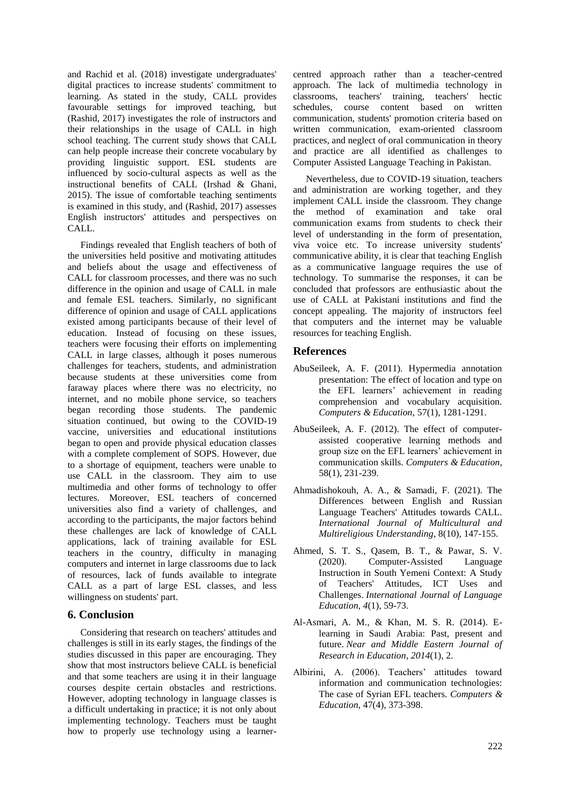and Rachid et al. (2018) investigate undergraduates' digital practices to increase students' commitment to learning. As stated in the study, CALL provides favourable settings for improved teaching, but (Rashid, 2017) investigates the role of instructors and their relationships in the usage of CALL in high school teaching. The current study shows that CALL can help people increase their concrete vocabulary by providing linguistic support. ESL students are influenced by socio-cultural aspects as well as the instructional benefits of CALL (Irshad & Ghani, 2015). The issue of comfortable teaching sentiments is examined in this study, and (Rashid, 2017) assesses English instructors' attitudes and perspectives on CALL.

Findings revealed that English teachers of both of the universities held positive and motivating attitudes and beliefs about the usage and effectiveness of CALL for classroom processes, and there was no such difference in the opinion and usage of CALL in male and female ESL teachers. Similarly, no significant difference of opinion and usage of CALL applications existed among participants because of their level of education. Instead of focusing on these issues, teachers were focusing their efforts on implementing CALL in large classes, although it poses numerous challenges for teachers, students, and administration because students at these universities come from faraway places where there was no electricity, no internet, and no mobile phone service, so teachers began recording those students. The pandemic situation continued, but owing to the COVID-19 vaccine, universities and educational institutions began to open and provide physical education classes with a complete complement of SOPS. However, due to a shortage of equipment, teachers were unable to use CALL in the classroom. They aim to use multimedia and other forms of technology to offer lectures. Moreover, ESL teachers of concerned universities also find a variety of challenges, and according to the participants, the major factors behind these challenges are lack of knowledge of CALL applications, lack of training available for ESL teachers in the country, difficulty in managing computers and internet in large classrooms due to lack of resources, lack of funds available to integrate CALL as a part of large ESL classes, and less willingness on students' part.

#### **6. Conclusion**

Considering that research on teachers' attitudes and challenges is still in its early stages, the findings of the studies discussed in this paper are encouraging. They show that most instructors believe CALL is beneficial and that some teachers are using it in their language courses despite certain obstacles and restrictions. However, adopting technology in language classes is a difficult undertaking in practice; it is not only about implementing technology. Teachers must be taught how to properly use technology using a learnercentred approach rather than a teacher-centred approach. The lack of multimedia technology in classrooms, teachers' training, teachers' hectic schedules, course content based on written communication, students' promotion criteria based on written communication, exam-oriented classroom practices, and neglect of oral communication in theory and practice are all identified as challenges to Computer Assisted Language Teaching in Pakistan.

Nevertheless, due to COVID-19 situation, teachers and administration are working together, and they implement CALL inside the classroom. They change the method of examination and take oral communication exams from students to check their level of understanding in the form of presentation, viva voice etc. To increase university students' communicative ability, it is clear that teaching English as a communicative language requires the use of technology. To summarise the responses, it can be concluded that professors are enthusiastic about the use of CALL at Pakistani institutions and find the concept appealing. The majority of instructors feel that computers and the internet may be valuable resources for teaching English.

# **References**

- AbuSeileek, A. F. (2011). Hypermedia annotation presentation: The effect of location and type on the EFL learners' achievement in reading comprehension and vocabulary acquisition. *Computers & Education*, 57(1), 1281-1291.
- AbuSeileek, A. F. (2012). The effect of computerassisted cooperative learning methods and group size on the EFL learners' achievement in communication skills. *Computers & Education*, 58(1), 231-239.
- Ahmadishokouh, A. A., & Samadi, F. (2021). The Differences between English and Russian Language Teachers' Attitudes towards CALL. *International Journal of Multicultural and Multireligious Understanding*, 8(10), 147-155.
- Ahmed, S. T. S., Qasem, B. T., & Pawar, S. V. (2020). Computer-Assisted Language Instruction in South Yemeni Context: A Study of Teachers' Attitudes, ICT Uses and Challenges. *International Journal of Language Education*, *4*(1), 59-73.
- Al-Asmari, A. M., & Khan, M. S. R. (2014). Elearning in Saudi Arabia: Past, present and future. *Near and Middle Eastern Journal of Research in Education*, *2014*(1), 2.
- Albirini, A. (2006). Teachers' attitudes toward information and communication technologies: The case of Syrian EFL teachers. *Computers & Education,* 47(4), 373-398.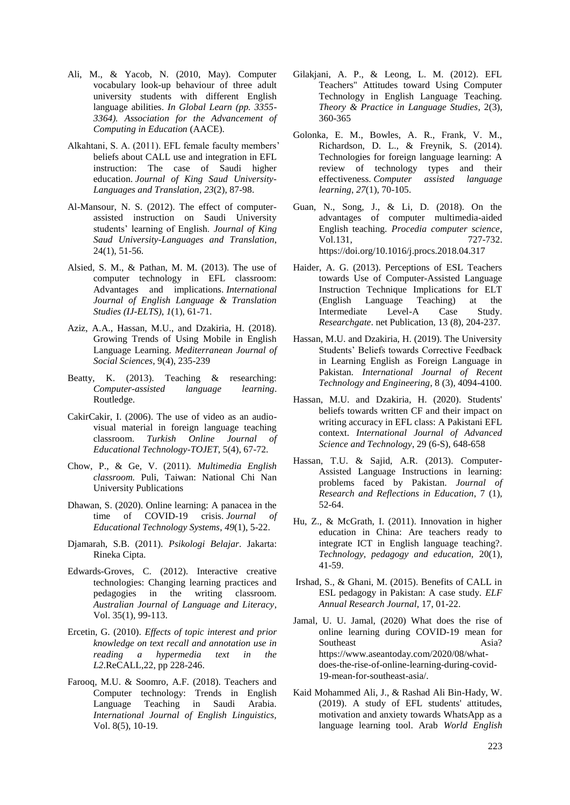- Ali, M., & Yacob, N. (2010, May). Computer vocabulary look-up behaviour of three adult university students with different English language abilities. *In Global Learn (pp. 3355- 3364). Association for the Advancement of Computing in Education* (AACE).
- Alkahtani, S. A. (2011). EFL female faculty members' beliefs about CALL use and integration in EFL instruction: The case of Saudi higher education. *Journal of King Saud University-Languages and Translation*, *23*(2), 87-98.
- Al-Mansour, N. S. (2012). The effect of computerassisted instruction on Saudi University students' learning of English. *Journal of King Saud University-Languages and Translation*, 24(1), 51-56.
- Alsied, S. M., & Pathan, M. M. (2013). The use of computer technology in EFL classroom: Advantages and implications. *International Journal of English Language & Translation Studies (IJ-ELTS)*, *1*(1), 61-71.
- Aziz, A.A., Hassan, M.U., and Dzakiria, H. (2018). Growing Trends of Using Mobile in English Language Learning. *Mediterranean Journal of Social Sciences*, 9(4), 235-239
- Beatty, K. (2013). Teaching & researching: *Computer-assisted language learning*. Routledge.
- CakirCakir, I. (2006). The use of video as an audiovisual material in foreign language teaching classroom. *Turkish Online Journal of Educational Technology-TOJET*, 5(4), 67-72.
- Chow, P., & Ge, V. (2011). *Multimedia English classroom.* Puli, Taiwan: National Chi Nan University Publications
- Dhawan, S. (2020). Online learning: A panacea in the time of COVID-19 crisis. *Journal of Educational Technology Systems*, *49*(1), 5-22.
- Djamarah, S.B. (2011). *Psikologi Belajar*. Jakarta: Rineka Cipta.
- Edwards-Groves, C. (2012). Interactive creative technologies: Changing learning practices and pedagogies in the writing classroom. *Australian Journal of Language and Literacy*, Vol. 35(1), 99-113.
- Ercetin, G. (2010). *Effects of topic interest and prior knowledge on text recall and annotation use in reading a hypermedia text in the L2*.ReCALL,22, pp 228-246.
- Farooq, M.U. & Soomro, A.F. (2018). Teachers and Computer technology: Trends in English Language Teaching in Saudi Arabia. *International Journal of English Linguistics,*  Vol. 8(5), 10-19.
- Gilakjani, A. P., & Leong, L. M. (2012). EFL Teachers" Attitudes toward Using Computer Technology in English Language Teaching. *Theory & Practice in Language Studies*, 2(3), 360-365
- Golonka, E. M., Bowles, A. R., Frank, V. M., Richardson, D. L., & Freynik, S. (2014). Technologies for foreign language learning: A review of technology types and their effectiveness. *Computer assisted language learning*, *27*(1), 70-105.
- Guan, N., Song, J., & Li, D. (2018). On the advantages of computer multimedia-aided English teaching. *Procedia computer science*, Vol.131, 727-732. <https://doi.org/10.1016/j.procs.2018.04.317>
- Haider, A. G. (2013). Perceptions of ESL Teachers towards Use of Computer-Assisted Language Instruction Technique Implications for ELT (English Language Teaching) at the Intermediate Level-A Case Study. *Researchgate*. net Publication, 13 (8), 204-237.
- Hassan, M.U. and Dzakiria, H. (2019). The University Students' Beliefs towards Corrective Feedback in Learning English as Foreign Language in Pakistan. *International Journal of Recent Technology and Engineering*, 8 (3), 4094-4100.
- Hassan, M.U. and Dzakiria, H. (2020). Students' beliefs towards written CF and their impact on writing accuracy in EFL class: A Pakistani EFL context. *International Journal of Advanced Science and Technology*, 29 (6-S), 648-658
- Hassan, T.U. & Sajid, A.R. (2013). Computer-Assisted Language Instructions in learning: problems faced by Pakistan. *Journal of Research and Reflections in Education*, 7 (1), 52-64.
- Hu, Z., & McGrath, I. (2011). Innovation in higher education in China: Are teachers ready to integrate ICT in English language teaching?. *Technology, pedagogy and education,* 20(1), 41-59.
- Irshad, S., & Ghani, M. (2015). Benefits of CALL in ESL pedagogy in Pakistan: A case study. *ELF Annual Research Journal,* 17, 01-22.
- Jamal, U. U. Jamal, (2020) What does the rise of online learning during COVID-19 mean for Southeast Asia? [https://www.aseantoday.com/2020/08/what](https://www.aseantoday.com/2020/08/what-does-the-rise-of-online-learning-during-covid-19-mean-for-southeast-asia/)[does-the-rise-of-online-learning-during-covid-](https://www.aseantoday.com/2020/08/what-does-the-rise-of-online-learning-during-covid-19-mean-for-southeast-asia/)[19-mean-for-southeast-asia/.](https://www.aseantoday.com/2020/08/what-does-the-rise-of-online-learning-during-covid-19-mean-for-southeast-asia/)
- Kaid Mohammed Ali, J., & Rashad Ali Bin-Hady, W. (2019). A study of EFL students' attitudes, motivation and anxiety towards WhatsApp as a language learning tool. Arab *World English*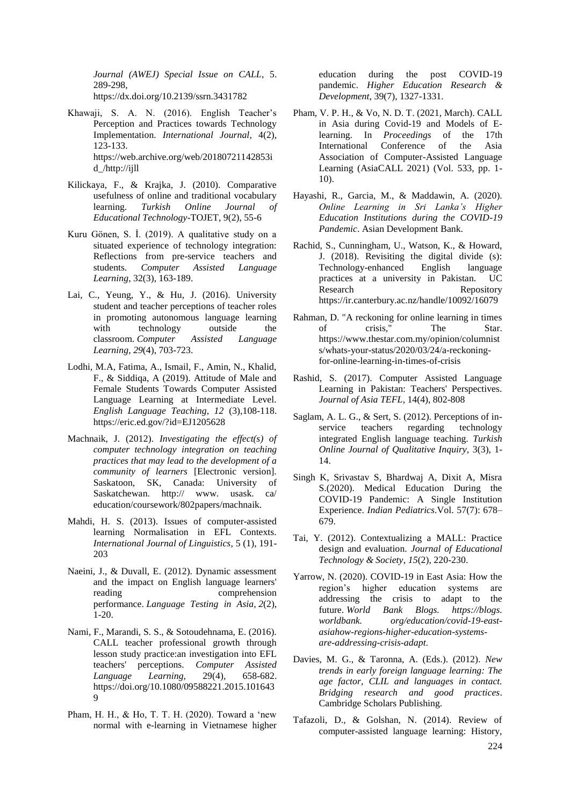*Journal (AWEJ) Special Issue on CALL*, 5. 289-298, https://dx.doi.org/10.2139/ssrn.3431782

- Khawaji, S. A. N. (2016). English Teacher's Perception and Practices towards Technology Implementation. *International Journal*, 4(2), 123-133. [https://web.archive.org/web/20180721142853i](https://web.archive.org/web/20180721142853id_/http:/ijll) [d\\_/http://ijll](https://web.archive.org/web/20180721142853id_/http:/ijll)
- Kilickaya, F., & Krajka, J. (2010). Comparative usefulness of online and traditional vocabulary learning. *Turkish Online Journal of Educational Technology*-TOJET, 9(2), 55-6
- Kuru Gönen, S. İ. (2019). A qualitative study on a situated experience of technology integration: Reflections from pre-service teachers and students. *Computer Assisted Language Learning*, 32(3), 163-189.
- Lai, C., Yeung, Y., & Hu, J. (2016). University student and teacher perceptions of teacher roles in promoting autonomous language learning with technology outside the classroom. *Computer Assisted Language Learning*, *29*(4), 703-723.
- Lodhi, M.A, Fatima, A., Ismail, F., Amin, N., Khalid, F., & Siddiqa, A (2019). Attitude of Male and Female Students Towards Computer Assisted Language Learning at Intermediate Level. *English Language Teaching, 12* (3),108-118. <https://eric.ed.gov/?id=EJ1205628>
- Machnaik, J. (2012). *Investigating the effect(s) of computer technology integration on teaching practices that may lead to the development of a community of learners* [Electronic version]. Saskatoon, SK, Canada: University of Saskatchewan. http:// www. usask. ca/ education/coursework/802papers/machnaik.
- Mahdi, H. S. (2013). Issues of computer-assisted learning Normalisation in EFL Contexts. *International Journal of Linguistics*, 5 (1), 191- 203
- Naeini, J., & Duvall, E. (2012). Dynamic assessment and the impact on English language learners' reading comprehension performance. *Language Testing in Asia*, *2*(2), 1-20.
- Nami, F., Marandi, S. S., & Sotoudehnama, E. (2016). CALL teacher professional growth through lesson study practice:an investigation into EFL teachers' perceptions. *Computer Assisted Language Learning,* 29(4), 658-682. https://doi.org/10.1080/09588221.2015.101643 9
- Pham, H. H., & Ho, T. T. H. (2020). Toward a 'new normal with e-learning in Vietnamese higher

education during the post COVID-19 pandemic. *Higher Education Research & Development*, 39(7), 1327-1331.

- Pham, V. P. H., & Vo, N. D. T. (2021, March). CALL in Asia during Covid-19 and Models of Elearning. In *Proceedings* of the 17th International Conference of the Asia Association of Computer-Assisted Language Learning (AsiaCALL 2021) (Vol. 533, pp. 1- 10).
- Hayashi, R., Garcia, M., & Maddawin, A. (2020). *Online Learning in Sri Lanka's Higher Education Institutions during the COVID-19 Pandemic*. Asian Development Bank.
- Rachid, S., Cunningham, U., Watson, K., & Howard, J. (2018). Revisiting the digital divide (s): Technology-enhanced English language practices at a university in Pakistan. UC Research Repository https://ir.canterbury.ac.nz/handle/10092/16079
- Rahman, D. "A reckoning for online learning in times of crisis," The Star. [https://www.thestar.com.my/opinion/columnist](https://www.thestar.com.my/opinion/columnists/whats-your-status/2020/03/24/a-reckoning-for-online-learning-in-times-of-crisis) [s/whats-your-status/2020/03/24/a-reckoning](https://www.thestar.com.my/opinion/columnists/whats-your-status/2020/03/24/a-reckoning-for-online-learning-in-times-of-crisis)[for-online-learning-in-times-of-crisis](https://www.thestar.com.my/opinion/columnists/whats-your-status/2020/03/24/a-reckoning-for-online-learning-in-times-of-crisis)
- Rashid, S. (2017). Computer Assisted Language Learning in Pakistan: Teachers' Perspectives. *Journal of Asia TEFL*, 14(4), 802-808
- Saglam, A. L. G., & Sert, S. (2012). Perceptions of inservice teachers regarding technology integrated English language teaching. *Turkish Online Journal of Qualitative Inquiry,* 3(3), 1- 14.
- Singh K, Srivastav S, Bhardwaj A, Dixit A, Misra S.(2020). Medical Education During the COVID-19 Pandemic: A Single Institution Experience. *Indian Pediatrics*.Vol. 57(7): 678– 679.
- Tai, Y. (2012). Contextualizing a MALL: Practice design and evaluation. *Journal of Educational Technology & Society*, *15*(2), 220-230.
- Yarrow, N. (2020). COVID-19 in East Asia: How the region's higher education systems are addressing the crisis to adapt to the future. *World Bank Blogs. https://blogs. worldbank. org/education/covid-19-eastasiahow-regions-higher-education-systemsare-addressing-crisis-adapt*.
- Davies, M. G., & Taronna, A. (Eds.). (2012). *New trends in early foreign language learning: The age factor, CLIL and languages in contact. Bridging research and good practices*. Cambridge Scholars Publishing.
- Tafazoli, D., & Golshan, N. (2014). Review of computer-assisted language learning: History,